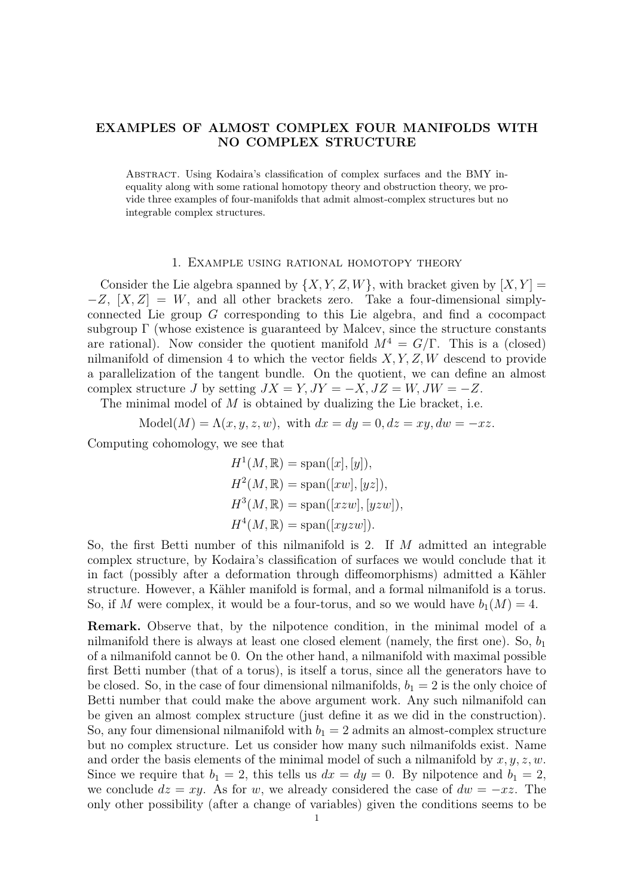## EXAMPLES OF ALMOST COMPLEX FOUR MANIFOLDS WITH NO COMPLEX STRUCTURE

Abstract. Using Kodaira's classification of complex surfaces and the BMY inequality along with some rational homotopy theory and obstruction theory, we provide three examples of four-manifolds that admit almost-complex structures but no integrable complex structures.

## 1. Example using rational homotopy theory

Consider the Lie algebra spanned by  $\{X, Y, Z, W\}$ , with bracket given by  $[X, Y] =$  $-Z$ ,  $[X, Z] = W$ , and all other brackets zero. Take a four-dimensional simplyconnected Lie group G corresponding to this Lie algebra, and find a cocompact subgroup  $\Gamma$  (whose existence is guaranteed by Malcev, since the structure constants are rational). Now consider the quotient manifold  $M^4 = G/\Gamma$ . This is a (closed) nilmanifold of dimension 4 to which the vector fields  $X, Y, Z, W$  descend to provide a parallelization of the tangent bundle. On the quotient, we can define an almost complex structure J by setting  $JX = Y$ ,  $JY = -X$ ,  $JZ = W$ ,  $JW = -Z$ .

The minimal model of  $M$  is obtained by dualizing the Lie bracket, i.e.

 $\text{Model}(M) = \Lambda(x, y, z, w), \text{ with } dx = dy = 0, dz = xy, dw = -xz.$ 

Computing cohomology, we see that

$$
H1(M, \mathbb{R}) = \text{span}([x], [y]),
$$
  
\n
$$
H2(M, \mathbb{R}) = \text{span}([xw], [yz]),
$$
  
\n
$$
H3(M, \mathbb{R}) = \text{span}([xzw], [yzw]),
$$
  
\n
$$
H4(M, \mathbb{R}) = \text{span}([xyzw]).
$$

So, the first Betti number of this nilmanifold is 2. If M admitted an integrable complex structure, by Kodaira's classification of surfaces we would conclude that it in fact (possibly after a deformation through diffeomorphisms) admitted a Kähler structure. However, a Kähler manifold is formal, and a formal nilmanifold is a torus. So, if M were complex, it would be a four-torus, and so we would have  $b_1(M) = 4$ .

Remark. Observe that, by the nilpotence condition, in the minimal model of a nilmanifold there is always at least one closed element (namely, the first one). So,  $b_1$ of a nilmanifold cannot be 0. On the other hand, a nilmanifold with maximal possible first Betti number (that of a torus), is itself a torus, since all the generators have to be closed. So, in the case of four dimensional nilmanifolds,  $b_1 = 2$  is the only choice of Betti number that could make the above argument work. Any such nilmanifold can be given an almost complex structure (just define it as we did in the construction). So, any four dimensional nilmanifold with  $b_1 = 2$  admits an almost-complex structure but no complex structure. Let us consider how many such nilmanifolds exist. Name and order the basis elements of the minimal model of such a nilmanifold by  $x, y, z, w$ . Since we require that  $b_1 = 2$ , this tells us  $dx = dy = 0$ . By nilpotence and  $b_1 = 2$ , we conclude  $dz = xy$ . As for w, we already considered the case of  $dw = -xz$ . The only other possibility (after a change of variables) given the conditions seems to be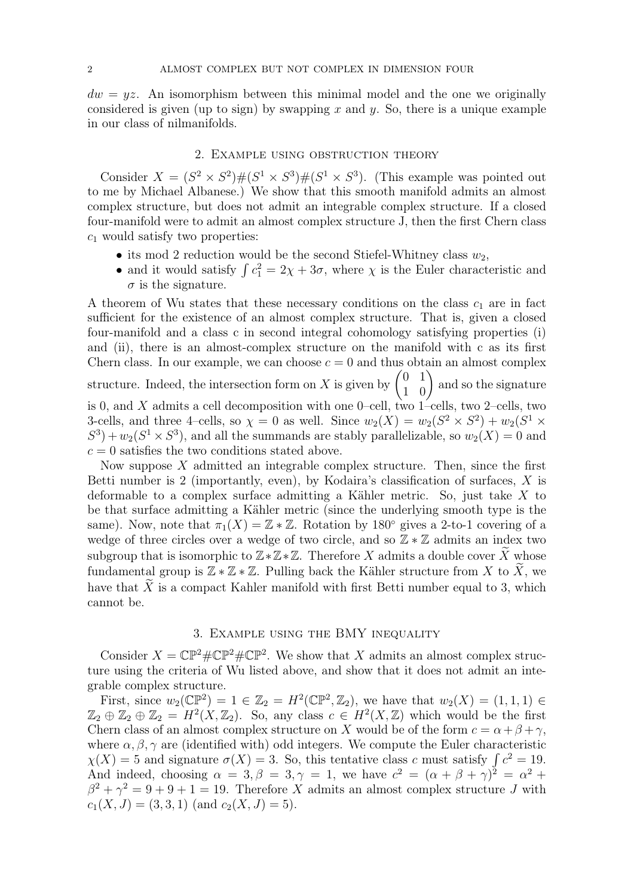$dw = yz$ . An isomorphism between this minimal model and the one we originally considered is given (up to sign) by swapping x and y. So, there is a unique example in our class of nilmanifolds.

## 2. Example using obstruction theory

Consider  $X = (S^2 \times S^2) \# (S^1 \times S^3) \# (S^1 \times S^3)$ . (This example was pointed out to me by Michael Albanese.) We show that this smooth manifold admits an almost complex structure, but does not admit an integrable complex structure. If a closed four-manifold were to admit an almost complex structure J, then the first Chern class  $c_1$  would satisfy two properties:

- its mod 2 reduction would be the second Stiefel-Whitney class  $w_2$ ,
- and it would satisfy  $\int c_1^2 = 2\chi + 3\sigma$ , where  $\chi$  is the Euler characteristic and  $\sigma$  is the signature.

A theorem of Wu states that these necessary conditions on the class  $c_1$  are in fact sufficient for the existence of an almost complex structure. That is, given a closed four-manifold and a class c in second integral cohomology satisfying properties (i) and (ii), there is an almost-complex structure on the manifold with c as its first Chern class. In our example, we can choose  $c = 0$  and thus obtain an almost complex structure. Indeed, the intersection form on X is given by  $\begin{pmatrix} 0 & 1 \\ 1 & 0 \end{pmatrix}$  and so the signature is 0, and X admits a cell decomposition with one 0–cell, two  $1$ –cells, two 2–cells, two 3-cells, and three 4-cells, so  $\chi = 0$  as well. Since  $w_2(X) = w_2(S^2 \times S^2) + w_2(S^1 \times S^2)$  $S^3$  +  $w_2(S^1 \times S^3)$ , and all the summands are stably parallelizable, so  $w_2(X) = 0$  and  $c = 0$  satisfies the two conditions stated above.

Now suppose  $X$  admitted an integrable complex structure. Then, since the first Betti number is 2 (importantly, even), by Kodaira's classification of surfaces, X is deformable to a complex surface admitting a Kähler metric. So, just take X to be that surface admitting a Kähler metric (since the underlying smooth type is the same). Now, note that  $\pi_1(X) = \mathbb{Z} * \mathbb{Z}$ . Rotation by 180° gives a 2-to-1 covering of a wedge of three circles over a wedge of two circle, and so  $\mathbb{Z} * \mathbb{Z}$  admits an index two subgroup that is isomorphic to  $\mathbb{Z} * \mathbb{Z} * \mathbb{Z}$ . Therefore X admits a double cover  $\widetilde{X}$  whose fundamental group is  $\mathbb{Z} * \mathbb{Z} * \mathbb{Z}$ . Pulling back the Kähler structure from X to  $\widetilde{X}$ , we have that  $\tilde{X}$  is a compact Kahler manifold with first Betti number equal to 3, which cannot be.

## 3. Example using the BMY inequality

Consider  $X = \mathbb{CP}^2 \# \mathbb{CP}^2 \# \mathbb{CP}^2$ . We show that X admits an almost complex structure using the criteria of Wu listed above, and show that it does not admit an integrable complex structure.

First, since  $w_2(\mathbb{CP}^2) = 1 \in \mathbb{Z}_2 = H^2(\mathbb{CP}^2, \mathbb{Z}_2)$ , we have that  $w_2(X) = (1, 1, 1) \in$  $\mathbb{Z}_2 \oplus \mathbb{Z}_2 \oplus \mathbb{Z}_2 = H^2(X, \mathbb{Z}_2)$ . So, any class  $c \in H^2(X, \mathbb{Z})$  which would be the first Chern class of an almost complex structure on X would be of the form  $c = \alpha + \beta + \gamma$ , where  $\alpha, \beta, \gamma$  are (identified with) odd integers. We compute the Euler characteristic  $\chi(X) = 5$  and signature  $\sigma(X) = 3$ . So, this tentative class c must satisfy  $\int c^2 = 19$ . And indeed, choosing  $\alpha = 3, \beta = 3, \gamma = 1$ , we have  $c^2 = (\alpha + \beta + \gamma)^2 = \alpha^2 + \gamma^2$  $\beta^2 + \gamma^2 = 9 + 9 + 1 = 19$ . Therefore X admits an almost complex structure J with  $c_1(X, J) = (3, 3, 1)$  (and  $c_2(X, J) = 5$ ).